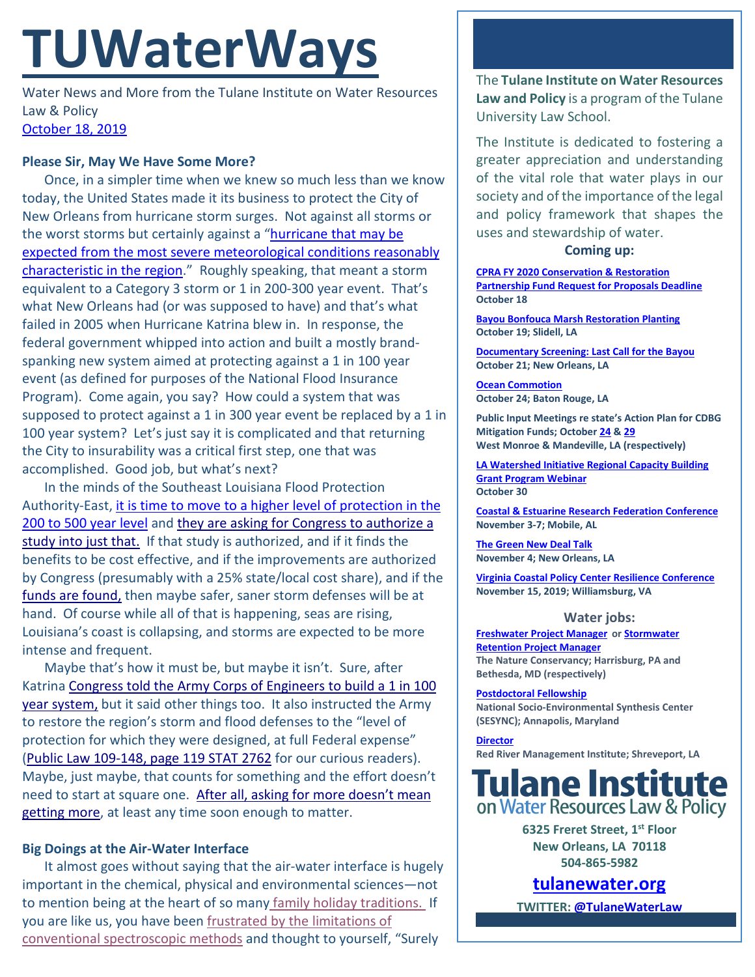# **TUWaterWays**

Water News and More from the Tulane Institute on Water Resources Law & Policy [October 18, 2019](https://thisdayinwaterhistory.wordpress.com/)

## **Please Sir, May We Have Some More?**

Once, in a simpler time when we knew so much less than we know today, the United States made it its business to protect the City of New Orleans from hurricane storm surges. Not against all storms or the worst storms but certainly against a ["hurricane that may be](https://www.govinfo.gov/content/pkg/STATUTE-79/pdf/STATUTE-79-Pg1073.pdf#page=17)  expected from the most severe meteorological conditions reasonably [characteristic in the region.](https://www.govinfo.gov/content/pkg/STATUTE-79/pdf/STATUTE-79-Pg1073.pdf#page=17)" Roughly speaking, that meant a storm equivalent to a Category 3 storm or 1 in 200-300 year event. That's what New Orleans had (or was supposed to have) and that's what failed in 2005 when Hurricane Katrina blew in. In response, the federal government whipped into action and built a mostly brandspanking new system aimed at protecting against a 1 in 100 year event (as defined for purposes of the National Flood Insurance Program). Come again, you say? How could a system that was supposed to protect against a 1 in 300 year event be replaced by a 1 in 100 year system? Let's just say it is complicated and that returning the City to insurability was a critical first step, one that was accomplished. Good job, but what's next?

In the minds of the Southeast Louisiana Flood Protection Authority-East, [it is time to move to a higher level of protection in the](https://www.nola.com/news/environment/article_3e525e96-ee96-11e9-88fb-2386651bb67d.html)  [200 to 500 year level](https://www.nola.com/news/environment/article_3e525e96-ee96-11e9-88fb-2386651bb67d.html) and [they are asking for Congress to authorize a](https://www.youtube.com/watch?v=Ex2r86G0sdc)  [study into just that.](https://www.youtube.com/watch?v=Ex2r86G0sdc) If that study is authorized, and if it finds the benefits to be cost effective, and if the improvements are authorized by Congress (presumably with a 25% state/local cost share), and if the [funds are found,](https://www.bing.com/videos/search?q=the+o) then maybe safer, saner storm defenses will be at hand. Of course while all of that is happening, seas are rising, Louisiana's coast is collapsing, and storms are expected to be more intense and frequent.

Maybe that's how it must be, but maybe it isn't. Sure, after Katrin[a Congress told the Army Corps of Engineers to build a 1 in 100](https://www.govinfo.gov/content/pkg/PLAW-110publ252/html/PLAW-110publ252.htm)  [year system,](https://www.govinfo.gov/content/pkg/PLAW-110publ252/html/PLAW-110publ252.htm) but it said other things too. It also instructed the Army to restore the region's storm and flood defenses to the "level of protection for which they were designed, at full Federal expense" [\(Public Law 109-148, page 119 STAT 2762](https://www.govinfo.gov/content/pkg/PLAW-109publ148/html/PLAW-109publ148.htm) for our curious readers). Maybe, just maybe, that counts for something and the effort doesn't need to start at square one. After all, [asking for more doesn't mean](https://www.youtube.com/watch?v=upD6cB9Rzvk)  [getting more,](https://www.youtube.com/watch?v=upD6cB9Rzvk) at least any time soon enough to matter.

# **Big Doings at the Air-Water Interface**

It almost goes without saying that the air-water interface is hugely important in the chemical, physical and environmental sciences—not to mention being at the heart of so many [family holiday traditions.](https://media.giphy.com/media/joqeA8aQhROPITJsBB/giphy.gif) If you are like us, you have been [frustrated by the limitations of](https://media2.giphy.com/media/4ZrFRwHGl4HTELW801/giphy.gif?cid=790b761121c6513723d590f15c893a1371f327f06b738728&rid=giphy.gif)  [conventional spectroscopic methods](https://media2.giphy.com/media/4ZrFRwHGl4HTELW801/giphy.gif?cid=790b761121c6513723d590f15c893a1371f327f06b738728&rid=giphy.gif) and thought to yourself, "Surely

The **Tulane Institute on Water Resources Law and Policy** is a program of the Tulane University Law School.

The Institute is dedicated to fostering a greater appreciation and understanding of the vital role that water plays in our society and of the importance of the legal and policy framework that shapes the uses and stewardship of water.

#### **Coming up:**

**[CPRA FY 2020 Conservation & Restoration](https://mailchi.mp/la.gov/82319)  [Partnership Fund Request for Proposals Deadline](https://mailchi.mp/la.gov/82319) October 18**

**[Bayou Bonfouca Marsh Restoration](https://www.eventbrite.com/e/bayou-bonfouca-marsh-restoration-planting-event-on-october-19-2019-tickets-62294227712) Planting October 19; Slidell, LA**

**[Documentary Screening: Last Call for the Bayou](https://www.facebook.com/events/2468621453225319/?notif_t=event_calendar_create¬if_id=1570689189151568) October 21; New Orleans, LA**

**[Ocean Commotion](http://www.laseagrant.org/education/projects/ocean-commotion/) October 24; Baton Rouge, LA**

**Public Input Meetings re state's Action Plan for CDBG Mitigation Funds; Octobe[r 24](https://www.watershed.la.gov/calendar/event/914/) & [29](https://www.watershed.la.gov/calendar/event/915/) West Monroe & Mandeville, LA (respectively)**

**[LA Watershed Initiative Regional Capacity Building](https://www.watershed.la.gov/calendar/event/806/)  [Grant Program Webinar](https://www.watershed.la.gov/calendar/event/806/) October 30**

**Coastal & [Estuarine Research Federation Conference](https://www.cerf.science/cerf-2019) November 3-7; Mobile, AL**

**[The Green New Deal Talk](https://liberalarts.tulane.edu/events/green-new-deal-0) November 4; New Orleans, LA**

**[Virginia Coastal Policy Center Resilience Conference](https://www.eventbrite.com/e/vcpcs-7th-annual-conference-the-three-ps-of-resilience-tickets-66101478301?utm_source=VCPC+News&utm_campaign=2d3123ca99-EMAIL_CAMPAIGN_2019_10_02_01_48&utm_medium=email&utm_term=0_c3ee49aa51-2d3123ca99-434797337) November 15, 2019; Williamsburg, VA**

#### **Water jobs:**

**[Freshwater Project Manager](https://www.joshswaterjobs.com/jobs/17900) o[r Stormwater](https://www.joshswaterjobs.com/jobs/17899)  [Retention Project Manager](https://www.joshswaterjobs.com/jobs/17899) The Nature Conservancy; Harrisburg, PA and Bethesda, MD (respectively)** 

**[Postdoctoral Fellowship](https://www.sesync.org/opportunities/research-fellowships-postdoctoral-fellowships/socio-environmental-immersion-1) National Socio-Environmental Synthesis Center (SESYNC); Annapolis, Maryland**

**[Director](https://www.higheredjobs.com/search/details.cfm?JobCode=177110051&Title=Director%20Red%20River%20Watershed%20Management%20Institute%20%28RRWMI%29) Red River Management Institute; Shreveport, LA**



**6325 Freret Street, 1st Floor New Orleans, LA 70118 504-865-5982** 

**tulanewater.org**

**TWITTER[: @TulaneWaterLaw](http://www.twitter.com/TulaneWaterLaw)**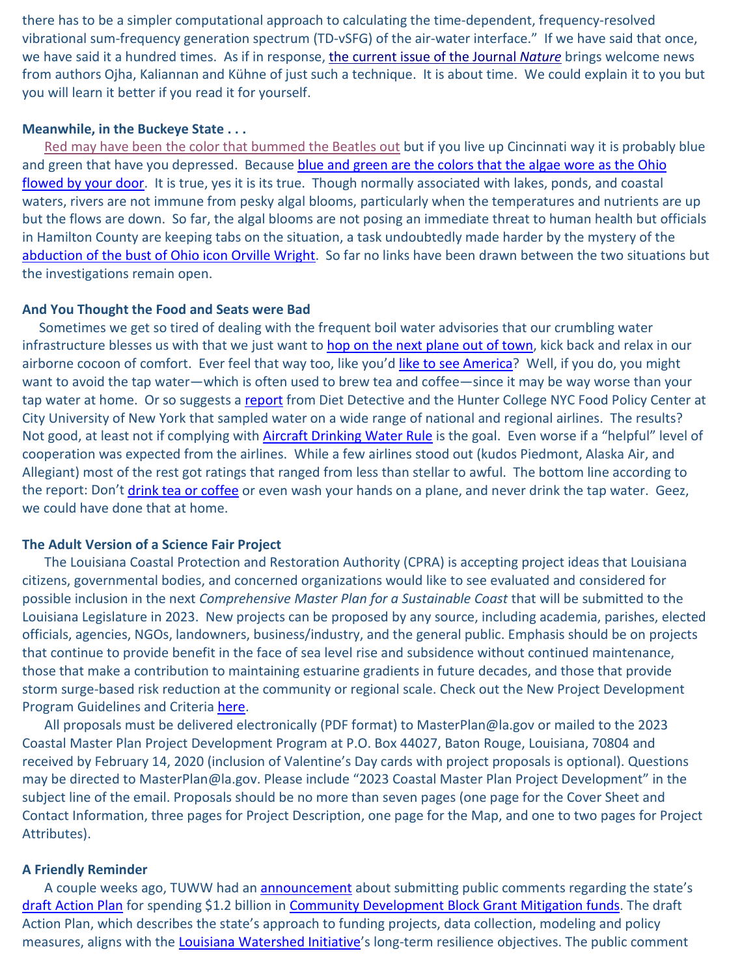there has to be a simpler computational approach to calculating the time-dependent, frequency-resolved vibrational sum-frequency generation spectrum (TD-vSFG) of the air-water interface." If we have said that once, we have said it a hundred times. As if in response, [the current issue of the Journal](https://www.nature.com/articles/s42004-019-0220-6) *Nature* brings welcome news from authors Ojha, Kaliannan and Kühne of just such a technique. It is about time. We could explain it to you but you will learn it better if you read it for yourself.

## **Meanwhile, in the Buckeye State . . .**

[Red may have been the color that bummed the Beatles out](https://www.youtube.com/watch?v=Rs2VaWBB1Go) but if you live up Cincinnati way it is probably blue and green that have you depressed. Because blue and green are the colors that the algae wore as the Ohio [flowed by your door.](https://www.wcpo.com/news/local-news/algal-bloom-in-ohio-river-is-growing-larger-still-posing-health-risk) It is true, yes it is its true. Though normally associated with lakes, ponds, and coastal waters, rivers are not immune from pesky algal blooms, particularly when the temperatures and nutrients are up but the flows are down. So far, the algal blooms are not posing an immediate threat to human health but officials in Hamilton County are keeping tabs on the situation, a task undoubtedly made harder by the mystery of the [abduction of the bust of Ohio icon Orville Wright.](https://myfox8.com/2019/10/15/bust-of-orville-wright-stolen-from-wright-brothers-national-memorial-has-been-found/) So far no links have been drawn between the two situations but the investigations remain open.

#### **And You Thought the Food and Seats were Bad**

Sometimes we get so tired of dealing with the frequent boil water advisories that our crumbling water infrastructure blesses us with that we just want to [hop on the next plane out of town,](https://www.youtube.com/watch?v=rMogywaLON0) kick back and relax in our airborne cocoon of comfort. Ever feel that way too, like you'd [like to see America?](https://upload.wikimedia.org/wikipedia/en/c/c4/Supertramp_-_Breakfast_in_America.jpg) Well, if you do, you might want to avoid the tap water—which is often used to brew tea and coffee—since it may be way worse than your tap water at home. Or so suggests a [report](https://www.dietdetective.com/airline-food-investigation-2018-19/) from Diet Detective and the Hunter College NYC Food Policy Center at City University of New York that sampled water on a wide range of national and regional airlines. The results? Not good, at least not if complying with [Aircraft Drinking Water Rule](https://www.epa.gov/sites/production/files/2015-10/documents/aircraft_drinking_water_rule_training_part_1_introduction_pdf.pdf) is the goal. Even worse if a "helpful" level of cooperation was expected from the airlines. While a few airlines stood out (kudos Piedmont, Alaska Air, and Allegiant) most of the rest got ratings that ranged from less than stellar to awful. The bottom line according to the report: Don't [drink tea or coffee](https://media1.tenor.com/images/5e5dd7c2e2dc9f76be32bbbeb5dc55a0/tenor.gif?itemid=7737622) or even wash your hands on a plane, and never drink the tap water. Geez, we could have done that at home.

## **The Adult Version of a Science Fair Project**

The Louisiana Coastal Protection and Restoration Authority (CPRA) is accepting project ideas that Louisiana citizens, governmental bodies, and concerned organizations would like to see evaluated and considered for possible inclusion in the next *Comprehensive Master Plan for a Sustainable Coast* that will be submitted to the Louisiana Legislature in 2023. New projects can be proposed by any source, including academia, parishes, elected officials, agencies, NGOs, landowners, business/industry, and the general public. Emphasis should be on projects that continue to provide benefit in the face of sea level rise and subsidence without continued maintenance, those that make a contribution to maintaining estuarine gradients in future decades, and those that provide storm surge-based risk reduction at the community or regional scale. Check out the New Project Development Program Guidelines and Criteria [here.](http://coastal.la.gov/wp-content/uploads/2018/09/MP23-Project-Development-Solicitation2_Guidelines-and-Criteria_10_16_2019.pdf)

All proposals must be delivered electronically (PDF format) to MasterPlan@la.gov or mailed to the 2023 Coastal Master Plan Project Development Program at P.O. Box 44027, Baton Rouge, Louisiana, 70804 and received by February 14, 2020 (inclusion of Valentine's Day cards with project proposals is optional). Questions may be directed to MasterPlan@la.gov. Please include "2023 Coastal Master Plan Project Development" in the subject line of the email. Proposals should be no more than seven pages (one page for the Cover Sheet and Contact Information, three pages for Project Description, one page for the Map, and one to two pages for Project Attributes).

#### **A Friendly Reminder**

A couple weeks ago, TUWW had an **announcement** about submitting public comments regarding the state's [draft Action Plan](https://www.doa.la.gov/OCDDRU/Action%20Plan%20Amendments/Mitigation/2019-09-27_CDBG-MITAP_Draft_v1.1.pdf) for spending \$1.2 billion in [Community Development Block Grant Mitigation funds.](https://files.hudexchange.info/resources/documents/FR-6109-N-02-CDBG-Mitigation-Notice.pdf) The draft Action Plan, which describes the state's approach to funding projects, data collection, modeling and policy measures, aligns with the [Louisiana Watershed Initiative'](https://watershed.la.gov/)s long-term resilience objectives. The public comment